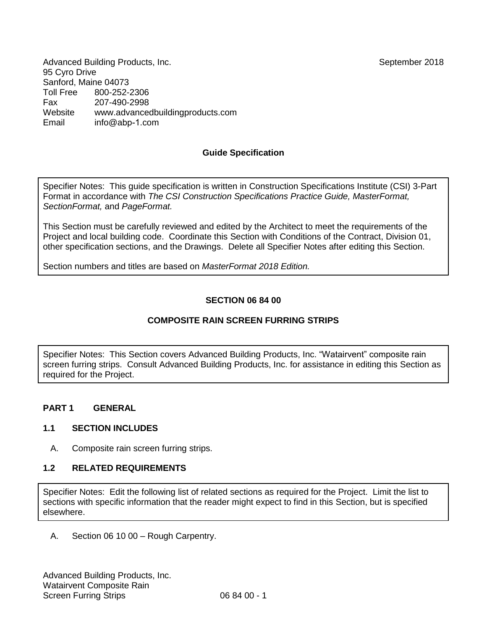Advanced Building Products, Inc. September 2018 95 Cyro Drive Sanford, Maine 04073<br>Toll Free 800-252-2 Toll Free 800-252-2306 Fax 207-490-2998 Website Email [www.advancedbuildingproducts.com](http://www.advancedbuildingproducts.com/)  info@abp-1[.com](mailto:bbb@aaaa.com) 

### **Guide Specification**

Specifier Notes: This guide specification is written in Construction Specifications Institute (CSI) 3-Part Format in accordance with *The CSI Construction Specifications Practice Guide, MasterFormat, SectionFormat,* and *PageFormat.*

This Section must be carefully reviewed and edited by the Architect to meet the requirements of the Project and local building code. Coordinate this Section with Conditions of the Contract, Division 01, other specification sections, and the Drawings. Delete all Specifier Notes after editing this Section.

Section numbers and titles are based on *MasterFormat 2018 Edition.*

### **SECTION 06 84 00**

### **COMPOSITE RAIN SCREEN FURRING STRIPS**

Specifier Notes: This Section covers Advanced Building Products, Inc. "Watairvent" composite rain screen furring strips. Consult Advanced Building Products, Inc. for assistance in editing this Section as required for the Project.

#### **PART 1 GENERAL**

#### **1.1 SECTION INCLUDES**

A. Composite rain screen furring strips.

#### **1.2 RELATED REQUIREMENTS**

Specifier Notes: Edit the following list of related sections as required for the Project. Limit the list to sections with specific information that the reader might expect to find in this Section, but is specified elsewhere.

A. Section 06 10 00 – Rough Carpentry.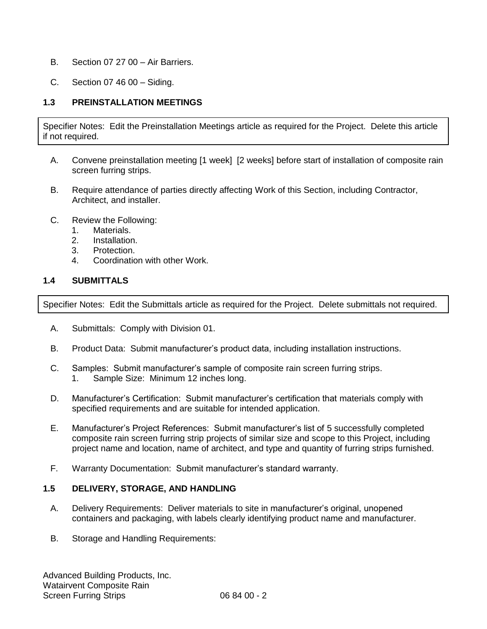- B. Section 07 27 00 Air Barriers.
- C. Section 07 46 00 Siding.

## **1.3 PREINSTALLATION MEETINGS**

Specifier Notes: Edit the Preinstallation Meetings article as required for the Project. Delete this article if not required.

- A. Convene preinstallation meeting [1 week] [2 weeks] before start of installation of composite rain screen furring strips.
- B. Require attendance of parties directly affecting Work of this Section, including Contractor, Architect, and installer.
- C. Review the Following:
	- 1. Materials.
	- 2. Installation.
	- 3. Protection.
	- 4. Coordination with other Work.

### **1.4 SUBMITTALS**

Specifier Notes: Edit the Submittals article as required for the Project. Delete submittals not required.

- A. Submittals: Comply with Division 01.
- B. Product Data: Submit manufacturer's product data, including installation instructions.
- C. Samples: Submit manufacturer's sample of composite rain screen furring strips. 1. Sample Size: Minimum 12 inches long.
- D. Manufacturer's Certification: Submit manufacturer's certification that materials comply with specified requirements and are suitable for intended application.
- E. Manufacturer's Project References: Submit manufacturer's list of 5 successfully completed composite rain screen furring strip projects of similar size and scope to this Project, including project name and location, name of architect, and type and quantity of furring strips furnished.
- F. Warranty Documentation: Submit manufacturer's standard warranty.

#### **1.5 DELIVERY, STORAGE, AND HANDLING**

- A. Delivery Requirements: Deliver materials to site in manufacturer's original, unopened containers and packaging, with labels clearly identifying product name and manufacturer.
- B. Storage and Handling Requirements: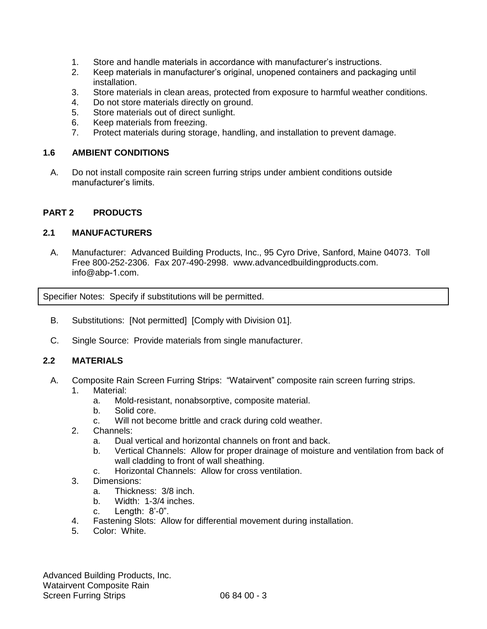- 1. Store and handle materials in accordance with manufacturer's instructions.
- 2. Keep materials in manufacturer's original, unopened containers and packaging until installation.
- 3. Store materials in clean areas, protected from exposure to harmful weather conditions.
- 4. Do not store materials directly on ground.
- 5. Store materials out of direct sunlight.
- 6. Keep materials from freezing.
- 7. Protect materials during storage, handling, and installation to prevent damage.

#### **1.6 AMBIENT CONDITIONS**

A. Do not install composite rain screen furring strips under ambient conditions outside manufacturer's limits.

### **PART 2 PRODUCTS**

### **2.1 MANUFACTURERS**

A. Manufacturer: Advanced Building Products, Inc., 95 Cyro Drive, Sanford, Maine 04073. Toll Free 800-252-2306. Fax 207-490-2998. [www.advancedbuildingproducts.com.](http://www.advancedbuildingproducts.com/) info@abp-1.com.

Specifier Notes: Specify if substitutions will be permitted.

- B. Substitutions: [Not permitted] [Comply with Division 01].
- C. Single Source: Provide materials from single manufacturer.

### **2.2 MATERIALS**

- A. Composite Rain Screen Furring Strips: "Watairvent" composite rain screen furring strips.
	- 1. Material:
		- a. Mold-resistant, nonabsorptive, composite material.
		- b. Solid core.
		- c. Will not become brittle and crack during cold weather.
	- 2. Channels:
		- a. Dual vertical and horizontal channels on front and back.
		- b. Vertical Channels: Allow for proper drainage of moisture and ventilation from back of wall cladding to front of wall sheathing.
		- c. Horizontal Channels: Allow for cross ventilation.
	- 3. Dimensions:
		- a. Thickness: 3/8 inch.
		- b. Width: 1-3/4 inches.
		- c. Length: 8'-0".
	- 4. Fastening Slots: Allow for differential movement during installation.
	- 5. Color: White.